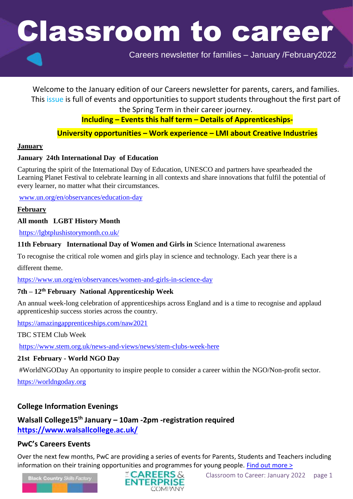Careers newsletter for families – January /February2022

Welcome to the January edition of our Careers newsletter for parents, carers, and families. This issue is full of events and opportunities to support students throughout the first part of the Spring Term in their career journey.

**Including – Events this half term – Details of Apprenticeships-**

### **University opportunities – Work experience – LMI about Creative Industries**

#### **January**

#### **January 24th International Day of Education**

Capturing the spirit of the International Day of Education, UNESCO and partners have spearheaded the Learning Planet Festival to celebrate learning in all contexts and share innovations that fulfil the potential of every learner, no matter what their circumstances.

[www.un.org/en/observances/education-day](http://www.un.org/en/observances/education-day)

#### **February**

#### **All month LGBT History Month**

<https://lgbtplushistorymonth.co.uk/>

**11th February International Day of Women and Girls in** Science International awareness

To recognise the critical role women and girls play in science and technology. Each year there is a different theme.

<https://www.un.org/en/observances/women-and-girls-in-science-day>

#### **7th – 12th February National Apprenticeship Week**

An annual week-long celebration of apprenticeships across England and is a time to recognise and applaud apprenticeship success stories across the country.

<https://amazingapprenticeships.com/naw2021>

TBC STEM Club Week

<https://www.stem.org.uk/news-and-views/news/stem-clubs-week-here>

#### **21st February - World NGO Day**

#WorldNGODay An opportunity to inspire people to consider a career within the NGO/Non-profit sector.

[https://worldngoday.org](https://worldngoday.org/)

### **College Information Evenings**

# **Walsall College15th January – 10am -2pm -registration required**

**<https://www.walsallcollege.ac.uk/>**

### **PwC's Careers Events**

Over the next few months, PwC are providing a series of events for Parents, Students and Teachers including information on their training opportunities and programmes for young people. [Find out more](https://www.careersschools.pwc.co.uk/Events/All/) >

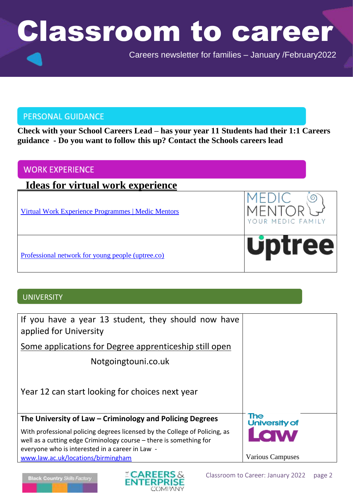Careers newsletter for families – January /February2022

### **PERSONAL GUIDANCE**

**Check with your School Careers Lead – has your year 11 Students had their 1:1 Careers guidance - Do you want to follow this up? Contact the Schools careers lead**

### **WORK EXPERIENCE**

# **Ideas for virtual work experience**

[Virtual Work Experience Programmes | Medic Mentors](https://medicmentor.co.uk/virtual-work-experience-programmes/)

[Professional network for young people \(uptree.co\)](https://uptree.co/)

### **UNIVERSITY**

| If you have a year 13 student, they should now have<br>applied for University                                                                                                                         |                             |
|-------------------------------------------------------------------------------------------------------------------------------------------------------------------------------------------------------|-----------------------------|
| Some applications for Degree apprenticeship still open                                                                                                                                                |                             |
| Notgoingtouni.co.uk                                                                                                                                                                                   |                             |
| Year 12 can start looking for choices next year                                                                                                                                                       |                             |
| The University of Law – Criminology and Policing Degrees                                                                                                                                              | The<br><b>University of</b> |
| With professional policing degrees licensed by the College of Policing, as<br>well as a cutting edge Criminology course $-$ there is something for<br>everyone who is interested in a career in Law - | M                           |
| www.law.ac.uk/locations/birmingham                                                                                                                                                                    | <b>Various Campuses</b>     |



FAMILY

ptree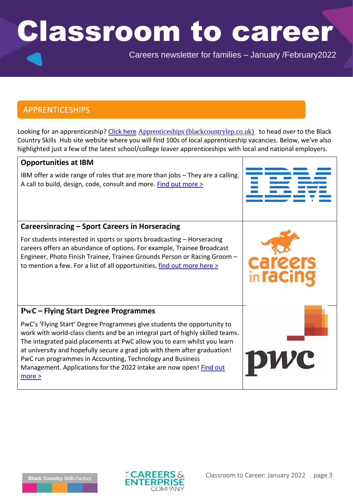Careers newsletter for families – January /February2022

## **APPRENTICESHIPS**

Looking for an apprenticeship? [Click here](https://bucksskillshub.org/opportunities/apprenticeships/search) [Apprenticeships \(blackcountrylep.co.uk\)](https://www.blackcountrylep.co.uk/our-strategy/people/schools-and-education/apprenticeships/) to head over to the Black Country Skills Hub site website where you will find 100s of local apprenticeship vacancies. Below, we've also highlighted just a few of the latest school/college leaver apprenticeships with local and national employers.



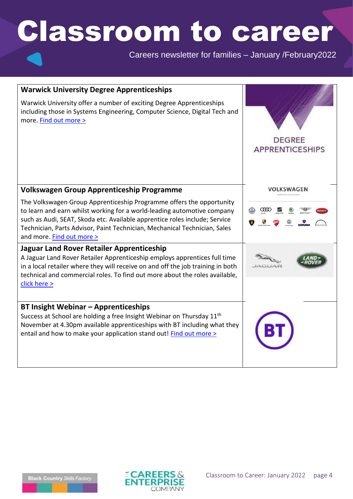Careers newsletter for families – January /February2022



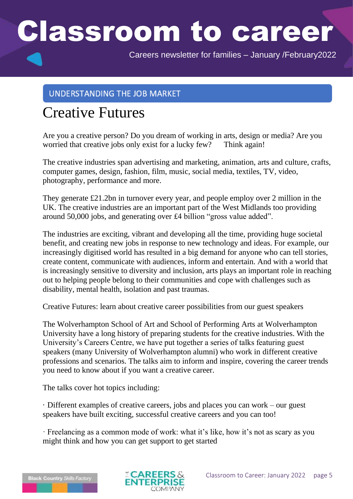Careers newsletter for families – January /February2022

# **UNDERSTANDING THE JOB MARKET**

# Creative Futures

Are you a creative person? Do you dream of working in arts, design or media? Are you worried that creative jobs only exist for a lucky few? Think again!

The creative industries span advertising and marketing, animation, arts and culture, crafts, computer games, design, fashion, film, music, social media, textiles, TV, video, photography, performance and more.

They generate £21.2bn in turnover every year, and people employ over 2 million in the UK. The creative industries are an important part of the West Midlands too providing around 50,000 jobs, and generating over £4 billion "gross value added".

The industries are exciting, vibrant and developing all the time, providing huge societal benefit, and creating new jobs in response to new technology and ideas. For example, our increasingly digitised world has resulted in a big demand for anyone who can tell stories, create content, communicate with audiences, inform and entertain. And with a world that is increasingly sensitive to diversity and inclusion, arts plays an important role in reaching out to helping people belong to their communities and cope with challenges such as disability, mental health, isolation and past traumas.

Creative Futures: learn about creative career possibilities from our guest speakers

The Wolverhampton School of Art and School of Performing Arts at Wolverhampton University have a long history of preparing students for the creative industries. With the University's Careers Centre, we have put together a series of talks featuring guest speakers (many University of Wolverhampton alumni) who work in different creative professions and scenarios. The talks aim to inform and inspire, covering the career trends you need to know about if you want a creative career.

The talks cover hot topics including:

· Different examples of creative careers, jobs and places you can work – our guest speakers have built exciting, successful creative careers and you can too!

· Freelancing as a common mode of work: what it's like, how it's not as scary as you might think and how you can get support to get started



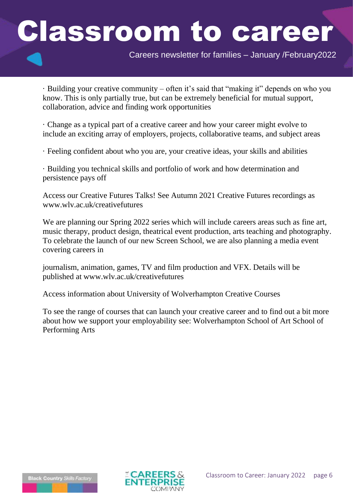Careers newsletter for families – January /February2022

· Building your creative community – often it's said that "making it" depends on who you know. This is only partially true, but can be extremely beneficial for mutual support, collaboration, advice and finding work opportunities

· Change as a typical part of a creative career and how your career might evolve to include an exciting array of employers, projects, collaborative teams, and subject areas

· Feeling confident about who you are, your creative ideas, your skills and abilities

· Building you technical skills and portfolio of work and how determination and persistence pays off

Access our Creative Futures Talks! See Autumn 2021 Creative Futures recordings as www.wlv.ac.uk/creativefutures

We are planning our Spring 2022 series which will include careers areas such as fine art, music therapy, product design, theatrical event production, arts teaching and photography. To celebrate the launch of our new Screen School, we are also planning a media event covering careers in

journalism, animation, games, TV and film production and VFX. Details will be published at www.wlv.ac.uk/creativefutures

Access information about University of Wolverhampton Creative Courses

To see the range of courses that can launch your creative career and to find out a bit more about how we support your employability see: Wolverhampton School of Art School of Performing Arts